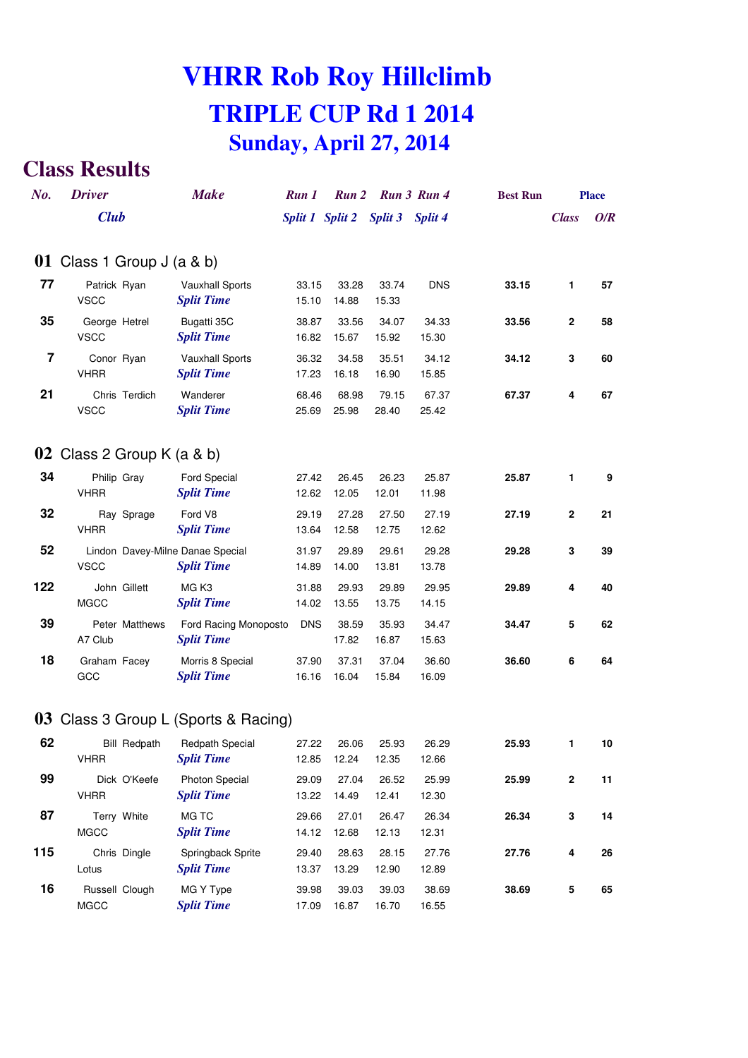# **VHRR Rob Roy Hillclimb TRIPLE CUP Rd 1 2014 Sunday, April 27, 2014**

#### **Class Results**

| No. | <b>Driver</b>                                   | <b>Make</b>                                 | Run 1          | Run 2                           |                | Run 3 Run 4    | <b>Best Run</b> |              | <b>Place</b> |
|-----|-------------------------------------------------|---------------------------------------------|----------------|---------------------------------|----------------|----------------|-----------------|--------------|--------------|
|     | <b>Club</b>                                     |                                             |                | Split 1 Split 2 Split 3 Split 4 |                |                |                 | <b>Class</b> | O/R          |
|     | 01 Class 1 Group $J$ (a & b)                    |                                             |                |                                 |                |                |                 |              |              |
| 77  | Patrick Ryan<br><b>VSCC</b>                     | <b>Vauxhall Sports</b><br><b>Split Time</b> | 33.15<br>15.10 | 33.28<br>14.88                  | 33.74<br>15.33 | <b>DNS</b>     | 33.15           | 1            | 57           |
| 35  | George Hetrel<br><b>VSCC</b>                    | Bugatti 35C<br><b>Split Time</b>            | 38.87<br>16.82 | 33.56<br>15.67                  | 34.07<br>15.92 | 34.33<br>15.30 | 33.56           | $\mathbf{2}$ | 58           |
| 7   | Conor Ryan<br><b>VHRR</b>                       | <b>Vauxhall Sports</b><br><b>Split Time</b> | 36.32<br>17.23 | 34.58<br>16.18                  | 35.51<br>16.90 | 34.12<br>15.85 | 34.12           | 3            | 60           |
| 21  | Chris Terdich<br><b>VSCC</b>                    | Wanderer<br><b>Split Time</b>               | 68.46<br>25.69 | 68.98<br>25.98                  | 79.15<br>28.40 | 67.37<br>25.42 | 67.37           | 4            | 67           |
|     | 02 Class 2 Group K $(a & b)$                    |                                             |                |                                 |                |                |                 |              |              |
| 34  | Philip Gray<br><b>VHRR</b>                      | <b>Ford Special</b><br><b>Split Time</b>    | 27.42<br>12.62 | 26.45<br>12.05                  | 26.23<br>12.01 | 25.87<br>11.98 | 25.87           | 1            | 9            |
| 32  | Ray Sprage<br><b>VHRR</b>                       | Ford V8<br><b>Split Time</b>                | 29.19<br>13.64 | 27.28<br>12.58                  | 27.50<br>12.75 | 27.19<br>12.62 | 27.19           | 2            | 21           |
| 52  | Lindon Davey-Milne Danae Special<br><b>VSCC</b> | <b>Split Time</b>                           | 31.97<br>14.89 | 29.89<br>14.00                  | 29.61<br>13.81 | 29.28<br>13.78 | 29.28           | 3            | 39           |
| 122 | John Gillett<br><b>MGCC</b>                     | MG <sub>K3</sub><br><b>Split Time</b>       | 31.88<br>14.02 | 29.93<br>13.55                  | 29.89<br>13.75 | 29.95<br>14.15 | 29.89           | 4            | 40           |
| 39  | Peter Matthews<br>A7 Club                       | Ford Racing Monoposto<br><b>Split Time</b>  | <b>DNS</b>     | 38.59<br>17.82                  | 35.93<br>16.87 | 34.47<br>15.63 | 34.47           | 5            | 62           |
| 18  | Graham Facey<br>GCC                             | Morris 8 Special<br><b>Split Time</b>       | 37.90<br>16.16 | 37.31<br>16.04                  | 37.04<br>15.84 | 36.60<br>16.09 | 36.60           | 6            | 64           |
|     |                                                 | 03 Class 3 Group L (Sports & Racing)        |                |                                 |                |                |                 |              |              |
| 62  | <b>Bill Redpath</b><br><b>VHRR</b>              | Redpath Special<br><b>Split Time</b>        | 27.22<br>12.85 | 26.06<br>12.24                  | 25.93<br>12.35 | 26.29<br>12.66 | 25.93           | 1            | 10           |
| 99  | Dick O'Keefe<br><b>VHRR</b>                     | Photon Special<br><b>Split Time</b>         | 29.09<br>13.22 | 27.04<br>14.49                  | 26.52<br>12.41 | 25.99<br>12.30 | 25.99           | $\mathbf 2$  | 11           |
| 87  | Terry White<br><b>MGCC</b>                      | MG TC<br><b>Split Time</b>                  | 29.66<br>14.12 | 27.01<br>12.68                  | 26.47<br>12.13 | 26.34<br>12.31 | 26.34           | 3            | 14           |
| 115 | Chris Dingle                                    | Springback Sprite                           | 29.40          | 28.63                           | 28.15          | 27.76          | 27.76           | 4            | 26           |

Lotus *Split Time* 13.37 13.29 12.90 12.89

**16** Russell Clough MG Y Type 39.98 39.03 39.03 38.69 **38.69 <sup>5</sup> <sup>65</sup>**

MGCC *Split Time* 17.09 16.87 16.70 16.55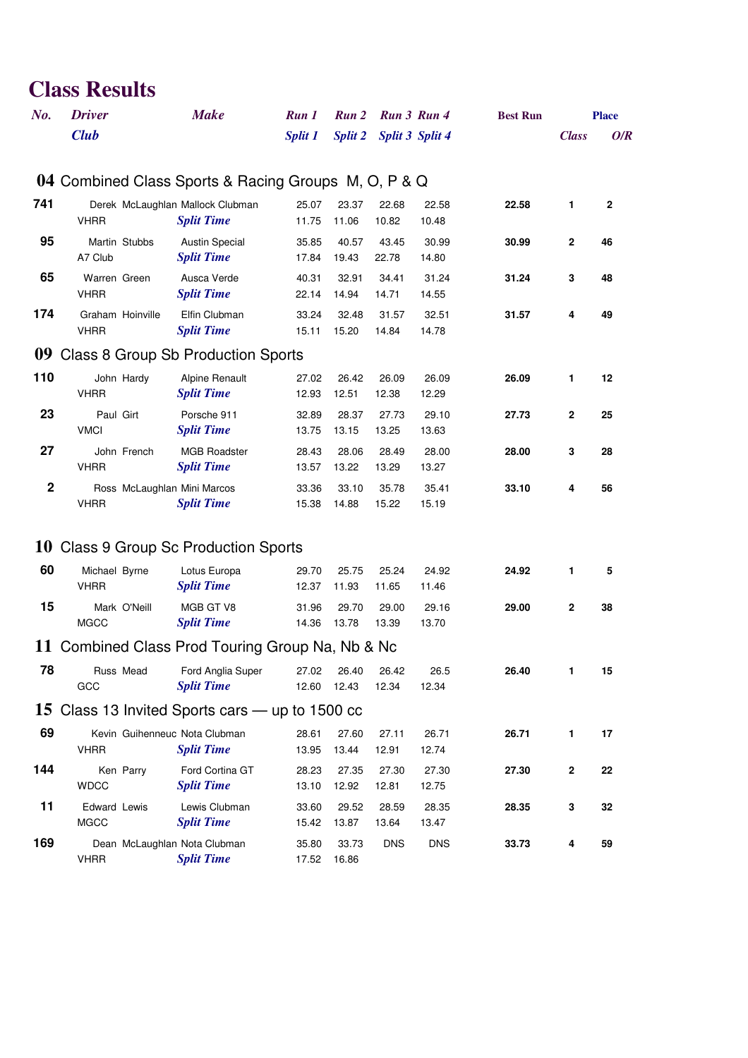### **Class Results**

| No.         | <b>Driver</b>                                        | <b>Make</b>                                           | Run 1          | Run 2                      |                | Run 3 Run 4     | <b>Best Run</b> |              | <b>Place</b> |
|-------------|------------------------------------------------------|-------------------------------------------------------|----------------|----------------------------|----------------|-----------------|-----------------|--------------|--------------|
|             | <b>Club</b>                                          |                                                       | <b>Split 1</b> | <b>Split 2</b>             |                | Split 3 Split 4 |                 | <b>Class</b> | O/R          |
|             | 04 Combined Class Sports & Racing Groups M, O, P & Q |                                                       |                |                            |                |                 |                 |              |              |
| 741         | <b>VHRR</b>                                          | Derek McLaughlan Mallock Clubman<br><b>Split Time</b> | 25.07<br>11.75 | 23.37<br>11.06             | 22.68<br>10.82 | 22.58<br>10.48  | 22.58           | 1            | $\mathbf{2}$ |
| 95          | Martin Stubbs<br>A7 Club                             | <b>Austin Special</b><br><b>Split Time</b>            | 35.85<br>17.84 | 40.57<br>19.43             | 43.45<br>22.78 | 30.99<br>14.80  | 30.99           | $\mathbf{2}$ | 46           |
| 65          | Warren Green<br><b>VHRR</b>                          | Ausca Verde<br><b>Split Time</b>                      | 40.31<br>22.14 | 32.91<br>14.94             | 34.41<br>14.71 | 31.24<br>14.55  | 31.24           | 3            | 48           |
| 174         | Graham Hoinville<br><b>VHRR</b>                      | Elfin Clubman<br><b>Split Time</b>                    | 33.24<br>15.11 | 32.48<br>15.20             | 31.57<br>14.84 | 32.51<br>14.78  | 31.57           | 4            | 49           |
|             | 09 Class 8 Group Sb Production Sports                |                                                       |                |                            |                |                 |                 |              |              |
| 110         | John Hardy<br><b>VHRR</b>                            | <b>Alpine Renault</b><br><b>Split Time</b>            | 27.02<br>12.93 | 26.42<br>12.51             | 26.09<br>12.38 | 26.09<br>12.29  | 26.09           | 1            | 12           |
| 23          | Paul Girt<br><b>VMCI</b>                             | Porsche 911<br><b>Split Time</b>                      | 32.89<br>13.75 | 28.37<br>13.15             | 27.73<br>13.25 | 29.10<br>13.63  | 27.73           | $\mathbf{2}$ | 25           |
| 27          | John French<br><b>VHRR</b>                           | <b>MGB Roadster</b><br><b>Split Time</b>              | 28.43<br>13.57 | 28.06<br>13.22             | 28.49<br>13.29 | 28.00<br>13.27  | 28.00           | 3            | 28           |
| $\mathbf 2$ | Ross McLaughlan Mini Marcos<br><b>VHRR</b>           | <b>Split Time</b>                                     | 33.36<br>15.38 | 33.10<br>14.88             | 35.78<br>15.22 | 35.41<br>15.19  | 33.10           | 4            | 56           |
|             | 10 Class 9 Group Sc Production Sports                |                                                       |                |                            |                |                 |                 |              |              |
| 60          | Michael Byrne<br><b>VHRR</b>                         | Lotus Europa<br><b>Split Time</b>                     | 29.70<br>12.37 | 25.75<br>11.93             | 25.24<br>11.65 | 24.92<br>11.46  | 24.92           | 1            | 5            |
| 15          | Mark O'Neill<br><b>MGCC</b>                          | MGB GT V8<br><b>Split Time</b>                        | 31.96<br>14.36 | 29.70<br>13.78             | 29.00<br>13.39 | 29.16<br>13.70  | 29.00           | $\mathbf 2$  | 38           |
|             | 11 Combined Class Prod Touring Group Na, Nb & Nc     |                                                       |                |                            |                |                 |                 |              |              |
| 78          | GCC                                                  | Russ Mead Ford Anglia Super<br><b>Split Time</b>      |                | 27.02 26.40<br>12.60 12.43 | 26.42<br>12.34 | 26.5<br>12.34   | 26.40           | 1.           | 15           |
|             | 15 Class 13 Invited Sports cars — up to 1500 cc      |                                                       |                |                            |                |                 |                 |              |              |
| 69          | <b>VHRR</b>                                          | Kevin Guihenneuc Nota Clubman<br><b>Split Time</b>    | 28.61<br>13.95 | 27.60<br>13.44             | 27.11<br>12.91 | 26.71<br>12.74  | 26.71           | 1            | 17           |
| 144         | Ken Parry<br><b>WDCC</b>                             | Ford Cortina GT<br><b>Split Time</b>                  | 28.23<br>13.10 | 27.35<br>12.92             | 27.30<br>12.81 | 27.30<br>12.75  | 27.30           | $\mathbf 2$  | 22           |
| 11          | Edward Lewis<br><b>MGCC</b>                          | Lewis Clubman<br><b>Split Time</b>                    | 33.60<br>15.42 | 29.52<br>13.87             | 28.59<br>13.64 | 28.35<br>13.47  | 28.35           | 3            | 32           |
| 169         | <b>VHRR</b>                                          | Dean McLaughlan Nota Clubman<br><b>Split Time</b>     | 35.80<br>17.52 | 33.73<br>16.86             | <b>DNS</b>     | <b>DNS</b>      | 33.73           | 4            | 59           |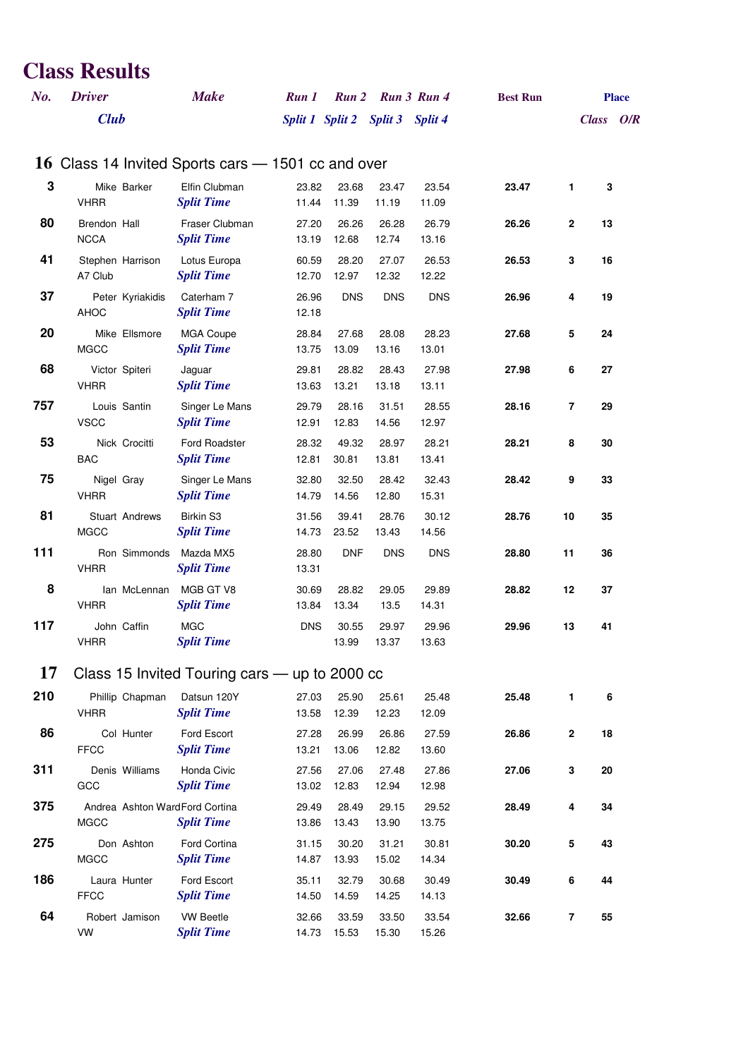## **Class Results**

| No. | <b>Driver</b>                                      | <b>Make</b>                           | Run 1          | <b>Run 2</b>   | Run 3 Run 4                     |                | <b>Best Run</b> |                |           | <b>Place</b> |
|-----|----------------------------------------------------|---------------------------------------|----------------|----------------|---------------------------------|----------------|-----------------|----------------|-----------|--------------|
|     | <b>Club</b>                                        |                                       |                |                | Split 1 Split 2 Split 3 Split 4 |                |                 |                | Class O/R |              |
|     |                                                    |                                       |                |                |                                 |                |                 |                |           |              |
|     | 16 Class 14 Invited Sports cars – 1501 cc and over |                                       |                |                |                                 |                |                 |                |           |              |
| 3   | Mike Barker                                        | Elfin Clubman                         | 23.82          | 23.68          | 23.47                           | 23.54          | 23.47           | 1              | 3         |              |
| 80  | <b>VHRR</b><br>Brendon Hall                        | <b>Split Time</b><br>Fraser Clubman   | 11.44<br>27.20 | 11.39<br>26.26 | 11.19<br>26.28                  | 11.09<br>26.79 | 26.26           | $\mathbf{2}$   | 13        |              |
|     | <b>NCCA</b>                                        | <b>Split Time</b>                     | 13.19          | 12.68          | 12.74                           | 13.16          |                 |                |           |              |
| 41  | Stephen Harrison                                   | Lotus Europa                          | 60.59          | 28.20          | 27.07                           | 26.53          | 26.53           | 3              | 16        |              |
|     | A7 Club                                            | <b>Split Time</b>                     | 12.70          | 12.97          | 12.32                           | 12.22          |                 |                |           |              |
| 37  | Peter Kyriakidis                                   | Caterham 7                            | 26.96          | <b>DNS</b>     | <b>DNS</b>                      | <b>DNS</b>     | 26.96           | 4              | 19        |              |
|     | AHOC                                               | <b>Split Time</b>                     | 12.18          |                |                                 |                |                 |                |           |              |
| 20  | Mike Ellsmore<br><b>MGCC</b>                       | <b>MGA Coupe</b><br><b>Split Time</b> | 28.84<br>13.75 | 27.68<br>13.09 | 28.08<br>13.16                  | 28.23<br>13.01 | 27.68           | 5              | 24        |              |
| 68  | Victor Spiteri                                     | Jaguar                                | 29.81          | 28.82          | 28.43                           | 27.98          | 27.98           | 6              | 27        |              |
|     | <b>VHRR</b>                                        | <b>Split Time</b>                     | 13.63          | 13.21          | 13.18                           | 13.11          |                 |                |           |              |
| 757 | Louis Santin                                       | Singer Le Mans                        | 29.79          | 28.16          | 31.51                           | 28.55          | 28.16           | $\overline{7}$ | 29        |              |
|     | <b>VSCC</b>                                        | <b>Split Time</b>                     | 12.91          | 12.83          | 14.56                           | 12.97          |                 |                |           |              |
| 53  | Nick Crocitti<br><b>BAC</b>                        | Ford Roadster                         | 28.32          | 49.32          | 28.97                           | 28.21          | 28.21           | 8              | 30        |              |
| 75  |                                                    | <b>Split Time</b><br>Singer Le Mans   | 12.81<br>32.80 | 30.81<br>32.50 | 13.81<br>28.42                  | 13.41<br>32.43 | 28.42           | 9              | 33        |              |
|     | Nigel Gray<br><b>VHRR</b>                          | <b>Split Time</b>                     | 14.79          | 14.56          | 12.80                           | 15.31          |                 |                |           |              |
| 81  | <b>Stuart Andrews</b>                              | Birkin S3                             | 31.56          | 39.41          | 28.76                           | 30.12          | 28.76           | 10             | 35        |              |
|     | <b>MGCC</b>                                        | <b>Split Time</b>                     | 14.73          | 23.52          | 13.43                           | 14.56          |                 |                |           |              |
| 111 | Ron Simmonds                                       | Mazda MX5                             | 28.80          | <b>DNF</b>     | <b>DNS</b>                      | <b>DNS</b>     | 28.80           | 11             | 36        |              |
|     | <b>VHRR</b>                                        | <b>Split Time</b>                     | 13.31          |                |                                 |                |                 |                |           |              |
| 8   | lan McLennan<br><b>VHRR</b>                        | MGB GT V8<br><b>Split Time</b>        | 30.69<br>13.84 | 28.82<br>13.34 | 29.05<br>13.5                   | 29.89<br>14.31 | 28.82           | 12             | 37        |              |
| 117 | John Caffin                                        | <b>MGC</b>                            | <b>DNS</b>     | 30.55          | 29.97                           | 29.96          | 29.96           | 13             | 41        |              |
|     | <b>VHRR</b>                                        | <b>Split Time</b>                     |                | 13.99          | 13.37                           | 13.63          |                 |                |           |              |
| 17  | Class 15 Invited Touring cars — up to 2000 cc      |                                       |                |                |                                 |                |                 |                |           |              |
|     |                                                    |                                       |                |                |                                 |                |                 |                |           |              |
| 210 | Phillip Chapman<br><b>VHRR</b>                     | Datsun 120Y<br><b>Split Time</b>      | 27.03<br>13.58 | 25.90<br>12.39 | 25.61<br>12.23                  | 25.48<br>12.09 | 25.48           | 1              | 6         |              |
| 86  | Col Hunter                                         | Ford Escort                           | 27.28          | 26.99          | 26.86                           | 27.59          | 26.86           | $\mathbf 2$    | 18        |              |
|     | <b>FFCC</b>                                        | <b>Split Time</b>                     | 13.21          | 13.06          | 12.82                           | 13.60          |                 |                |           |              |
| 311 | Denis Williams                                     | Honda Civic                           | 27.56          | 27.06          | 27.48                           | 27.86          | 27.06           | 3              | 20        |              |
|     | GCC                                                | <b>Split Time</b>                     | 13.02          | 12.83          | 12.94                           | 12.98          |                 |                |           |              |
| 375 | Andrea Ashton WardFord Cortina<br><b>MGCC</b>      | <b>Split Time</b>                     | 29.49<br>13.86 | 28.49<br>13.43 | 29.15<br>13.90                  | 29.52<br>13.75 | 28.49           | 4              | 34        |              |
| 275 | Don Ashton                                         | Ford Cortina                          | 31.15          | 30.20          | 31.21                           | 30.81          | 30.20           | 5              | 43        |              |
|     | <b>MGCC</b>                                        | <b>Split Time</b>                     | 14.87          | 13.93          | 15.02                           | 14.34          |                 |                |           |              |
| 186 | Laura Hunter                                       | Ford Escort                           | 35.11          | 32.79          | 30.68                           | 30.49          | 30.49           | 6              | 44        |              |
|     | <b>FFCC</b>                                        | <b>Split Time</b>                     | 14.50          | 14.59          | 14.25                           | 14.13          |                 |                |           |              |
| 64  | Robert Jamison                                     | <b>VW Beetle</b>                      | 32.66          | 33.59          | 33.50                           | 33.54          | 32.66           | 7              | 55        |              |
|     | VW                                                 | <b>Split Time</b>                     | 14.73          | 15.53          | 15.30                           | 15.26          |                 |                |           |              |